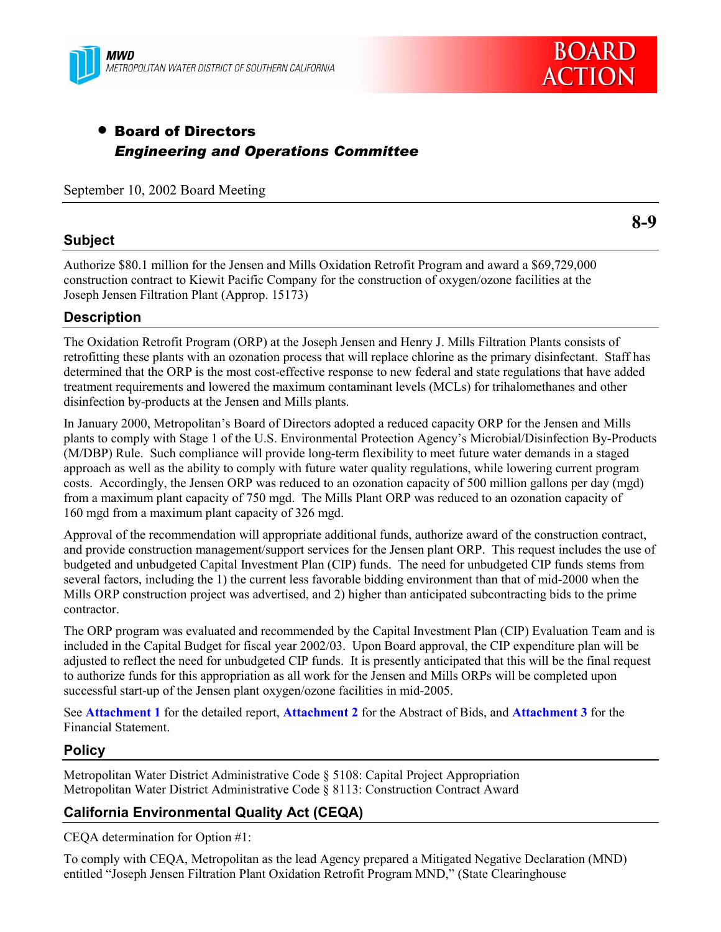



# • Board of Directors *Engineering and Operations Committee*

September 10, 2002 Board Meeting

## **Subject**

**8-9**

Authorize \$80.1 million for the Jensen and Mills Oxidation Retrofit Program and award a \$69,729,000 construction contract to Kiewit Pacific Company for the construction of oxygen/ozone facilities at the Joseph Jensen Filtration Plant (Approp. 15173)

## **Description**

The Oxidation Retrofit Program (ORP) at the Joseph Jensen and Henry J. Mills Filtration Plants consists of retrofitting these plants with an ozonation process that will replace chlorine as the primary disinfectant. Staff has determined that the ORP is the most cost-effective response to new federal and state regulations that have added treatment requirements and lowered the maximum contaminant levels (MCLs) for trihalomethanes and other disinfection by-products at the Jensen and Mills plants.

In January 2000, Metropolitanís Board of Directors adopted a reduced capacity ORP for the Jensen and Mills plants to comply with Stage 1 of the U.S. Environmental Protection Agencyís Microbial/Disinfection By-Products (M/DBP) Rule. Such compliance will provide long-term flexibility to meet future water demands in a staged approach as well as the ability to comply with future water quality regulations, while lowering current program costs. Accordingly, the Jensen ORP was reduced to an ozonation capacity of 500 million gallons per day (mgd) from a maximum plant capacity of 750 mgd. The Mills Plant ORP was reduced to an ozonation capacity of 160 mgd from a maximum plant capacity of 326 mgd.

Approval of the recommendation will appropriate additional funds, authorize award of the construction contract, and provide construction management/support services for the Jensen plant ORP. This request includes the use of budgeted and unbudgeted Capital Investment Plan (CIP) funds. The need for unbudgeted CIP funds stems from several factors, including the 1) the current less favorable bidding environment than that of mid-2000 when the Mills ORP construction project was advertised, and 2) higher than anticipated subcontracting bids to the prime contractor.

The ORP program was evaluated and recommended by the Capital Investment Plan (CIP) Evaluation Team and is included in the Capital Budget for fiscal year 2002/03. Upon Board approval, the CIP expenditure plan will be adjusted to reflect the need for unbudgeted CIP funds. It is presently anticipated that this will be the final request to authorize funds for this appropriation as all work for the Jensen and Mills ORPs will be completed upon successful start-up of the Jensen plant oxygen/ozone facilities in mid-2005.

See **Attachment 1** for the detailed report, **Attachment 2** for the Abstract of Bids, and **Attachment 3** for the Financial Statement.

## **Policy**

Metropolitan Water District Administrative Code ß 5108: Capital Project Appropriation Metropolitan Water District Administrative Code ß 8113: Construction Contract Award

## **California Environmental Quality Act (CEQA)**

CEQA determination for Option #1:

To comply with CEQA, Metropolitan as the lead Agency prepared a Mitigated Negative Declaration (MND) entitled "Joseph Jensen Filtration Plant Oxidation Retrofit Program MND," (State Clearinghouse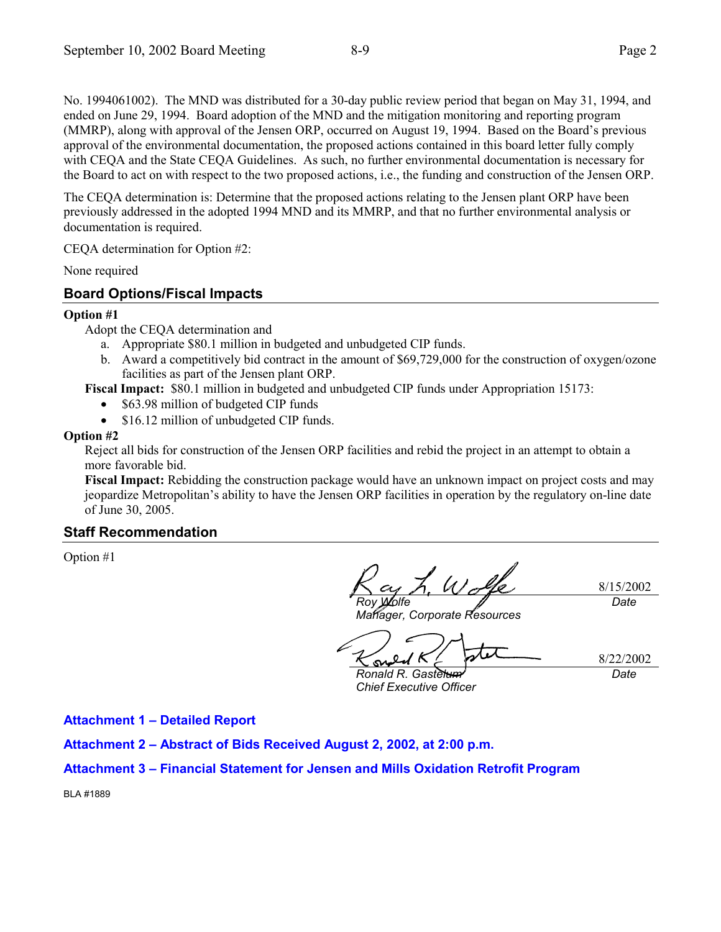No. 1994061002). The MND was distributed for a 30-day public review period that began on May 31, 1994, and ended on June 29, 1994. Board adoption of the MND and the mitigation monitoring and reporting program (MMRP), along with approval of the Jensen ORP, occurred on August 19, 1994. Based on the Board's previous approval of the environmental documentation, the proposed actions contained in this board letter fully comply with CEQA and the State CEQA Guidelines. As such, no further environmental documentation is necessary for the Board to act on with respect to the two proposed actions, i.e., the funding and construction of the Jensen ORP.

The CEQA determination is: Determine that the proposed actions relating to the Jensen plant ORP have been previously addressed in the adopted 1994 MND and its MMRP, and that no further environmental analysis or documentation is required.

CEQA determination for Option #2:

None required

### **Board Options/Fiscal Impacts**

#### **Option #1**

- Adopt the CEQA determination and
	- a. Appropriate \$80.1 million in budgeted and unbudgeted CIP funds.
	- b. Award a competitively bid contract in the amount of \$69,729,000 for the construction of oxygen/ozone facilities as part of the Jensen plant ORP.

**Fiscal Impact:** \$80.1 million in budgeted and unbudgeted CIP funds under Appropriation 15173:

- \$63.98 million of budgeted CIP funds
- \$16.12 million of unbudgeted CIP funds.

#### **Option #2**

Reject all bids for construction of the Jensen ORP facilities and rebid the project in an attempt to obtain a more favorable bid.

**Fiscal Impact:** Rebidding the construction package would have an unknown impact on project costs and may jeopardize Metropolitanís ability to have the Jensen ORP facilities in operation by the regulatory on-line date of June 30, 2005.

#### **Staff Recommendation**

Option #1

 $U_{\lambda}$ 8/15/2002 *Roy Wolfe Date*

*Manager, Corporate Resources*

8/22/2002 su

*Ronald R. Gastelum*

*Date*

*Chief Executive Officer*

**Attachment 1 - Detailed Report** 

Attachment 2 - Abstract of Bids Received August 2, 2002, at 2:00 p.m.

#### **Attachment 3 – Financial Statement for Jensen and Mills Oxidation Retrofit Program**

BLA #1889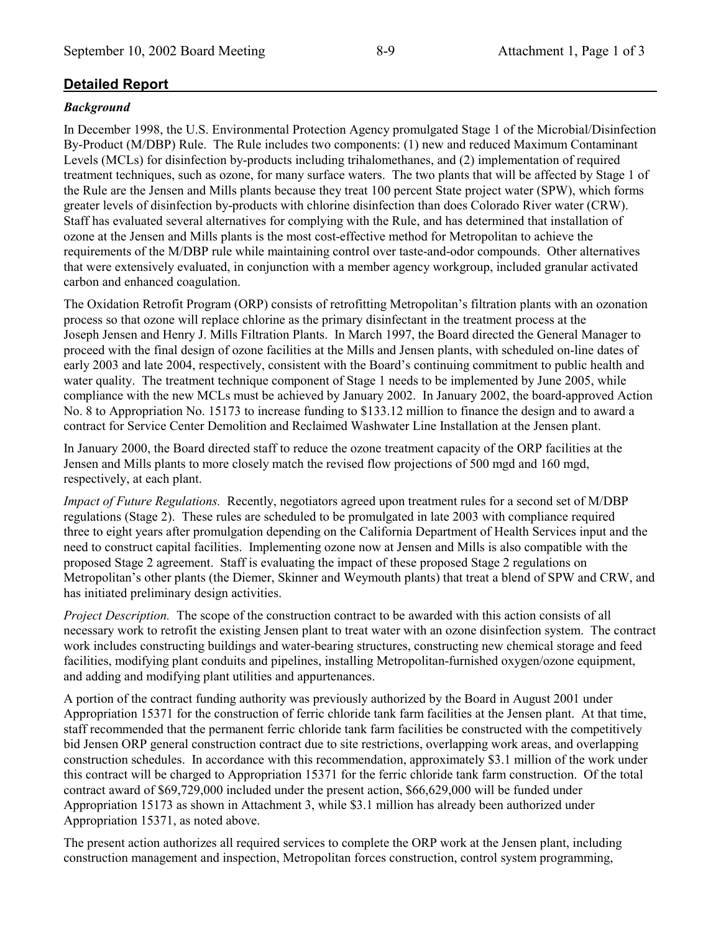## **Detailed Report**

#### *Background*

In December 1998, the U.S. Environmental Protection Agency promulgated Stage 1 of the Microbial/Disinfection By-Product (M/DBP) Rule. The Rule includes two components: (1) new and reduced Maximum Contaminant Levels (MCLs) for disinfection by-products including trihalomethanes, and (2) implementation of required treatment techniques, such as ozone, for many surface waters. The two plants that will be affected by Stage 1 of the Rule are the Jensen and Mills plants because they treat 100 percent State project water (SPW), which forms greater levels of disinfection by-products with chlorine disinfection than does Colorado River water (CRW). Staff has evaluated several alternatives for complying with the Rule, and has determined that installation of ozone at the Jensen and Mills plants is the most cost-effective method for Metropolitan to achieve the requirements of the M/DBP rule while maintaining control over taste-and-odor compounds. Other alternatives that were extensively evaluated, in conjunction with a member agency workgroup, included granular activated carbon and enhanced coagulation.

The Oxidation Retrofit Program (ORP) consists of retrofitting Metropolitan's filtration plants with an ozonation process so that ozone will replace chlorine as the primary disinfectant in the treatment process at the Joseph Jensen and Henry J. Mills Filtration Plants. In March 1997, the Board directed the General Manager to proceed with the final design of ozone facilities at the Mills and Jensen plants, with scheduled on-line dates of early 2003 and late 2004, respectively, consistent with the Board's continuing commitment to public health and water quality. The treatment technique component of Stage 1 needs to be implemented by June 2005, while compliance with the new MCLs must be achieved by January 2002. In January 2002, the board-approved Action No. 8 to Appropriation No. 15173 to increase funding to \$133.12 million to finance the design and to award a contract for Service Center Demolition and Reclaimed Washwater Line Installation at the Jensen plant.

In January 2000, the Board directed staff to reduce the ozone treatment capacity of the ORP facilities at the Jensen and Mills plants to more closely match the revised flow projections of 500 mgd and 160 mgd, respectively, at each plant.

*Impact of Future Regulations.* Recently, negotiators agreed upon treatment rules for a second set of M/DBP regulations (Stage 2). These rules are scheduled to be promulgated in late 2003 with compliance required three to eight years after promulgation depending on the California Department of Health Services input and the need to construct capital facilities. Implementing ozone now at Jensen and Mills is also compatible with the proposed Stage 2 agreement. Staff is evaluating the impact of these proposed Stage 2 regulations on Metropolitanís other plants (the Diemer, Skinner and Weymouth plants) that treat a blend of SPW and CRW, and has initiated preliminary design activities.

*Project Description.* The scope of the construction contract to be awarded with this action consists of all necessary work to retrofit the existing Jensen plant to treat water with an ozone disinfection system. The contract work includes constructing buildings and water-bearing structures, constructing new chemical storage and feed facilities, modifying plant conduits and pipelines, installing Metropolitan-furnished oxygen/ozone equipment, and adding and modifying plant utilities and appurtenances.

A portion of the contract funding authority was previously authorized by the Board in August 2001 under Appropriation 15371 for the construction of ferric chloride tank farm facilities at the Jensen plant. At that time, staff recommended that the permanent ferric chloride tank farm facilities be constructed with the competitively bid Jensen ORP general construction contract due to site restrictions, overlapping work areas, and overlapping construction schedules. In accordance with this recommendation, approximately \$3.1 million of the work under this contract will be charged to Appropriation 15371 for the ferric chloride tank farm construction. Of the total contract award of \$69,729,000 included under the present action, \$66,629,000 will be funded under Appropriation 15173 as shown in Attachment 3, while \$3.1 million has already been authorized under Appropriation 15371, as noted above.

The present action authorizes all required services to complete the ORP work at the Jensen plant, including construction management and inspection, Metropolitan forces construction, control system programming,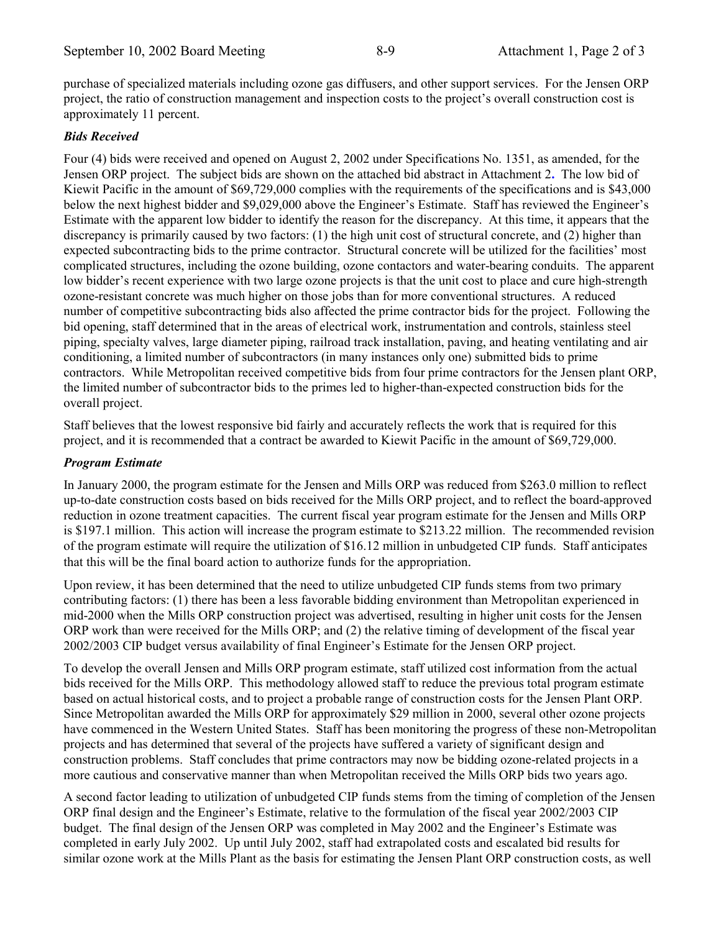purchase of specialized materials including ozone gas diffusers, and other support services.For the Jensen ORP project, the ratio of construction management and inspection costs to the project's overall construction cost is approximately 11 percent.

#### *Bids Received*

Four (4) bids were received and opened on August 2, 2002 under Specifications No. 1351, as amended, for the Jensen ORP project. The subject bids are shown on the attached bid abstract in Attachment 2**.** The low bid of Kiewit Pacific in the amount of \$69,729,000 complies with the requirements of the specifications and is \$43,000 below the next highest bidder and \$9,029,000 above the Engineer's Estimate. Staff has reviewed the Engineer's Estimate with the apparent low bidder to identify the reason for the discrepancy. At this time, it appears that the discrepancy is primarily caused by two factors: (1) the high unit cost of structural concrete, and (2) higher than expected subcontracting bids to the prime contractor. Structural concrete will be utilized for the facilities' most complicated structures, including the ozone building, ozone contactors and water-bearing conduits. The apparent low bidder's recent experience with two large ozone projects is that the unit cost to place and cure high-strength ozone-resistant concrete was much higher on those jobs than for more conventional structures. A reduced number of competitive subcontracting bids also affected the prime contractor bids for the project. Following the bid opening, staff determined that in the areas of electrical work, instrumentation and controls, stainless steel piping, specialty valves, large diameter piping, railroad track installation, paving, and heating ventilating and air conditioning, a limited number of subcontractors (in many instances only one) submitted bids to prime contractors. While Metropolitan received competitive bids from four prime contractors for the Jensen plant ORP, the limited number of subcontractor bids to the primes led to higher-than-expected construction bids for the overall project.

Staff believes that the lowest responsive bid fairly and accurately reflects the work that is required for this project, and it is recommended that a contract be awarded to Kiewit Pacific in the amount of \$69,729,000.

#### *Program Estimate*

In January 2000, the program estimate for the Jensen and Mills ORP was reduced from \$263.0 million to reflect up-to-date construction costs based on bids received for the Mills ORP project, and to reflect the board-approved reduction in ozone treatment capacities. The current fiscal year program estimate for the Jensen and Mills ORP is \$197.1 million. This action will increase the program estimate to \$213.22 million. The recommended revision of the program estimate will require the utilization of \$16.12 million in unbudgeted CIP funds. Staff anticipates that this will be the final board action to authorize funds for the appropriation.

Upon review, it has been determined that the need to utilize unbudgeted CIP funds stems from two primary contributing factors: (1) there has been a less favorable bidding environment than Metropolitan experienced in mid-2000 when the Mills ORP construction project was advertised, resulting in higher unit costs for the Jensen ORP work than were received for the Mills ORP; and (2) the relative timing of development of the fiscal year 2002/2003 CIP budget versus availability of final Engineerís Estimate for the Jensen ORP project.

To develop the overall Jensen and Mills ORP program estimate, staff utilized cost information from the actual bids received for the Mills ORP. This methodology allowed staff to reduce the previous total program estimate based on actual historical costs, and to project a probable range of construction costs for the Jensen Plant ORP. Since Metropolitan awarded the Mills ORP for approximately \$29 million in 2000, several other ozone projects have commenced in the Western United States. Staff has been monitoring the progress of these non-Metropolitan projects and has determined that several of the projects have suffered a variety of significant design and construction problems. Staff concludes that prime contractors may now be bidding ozone-related projects in a more cautious and conservative manner than when Metropolitan received the Mills ORP bids two years ago.

A second factor leading to utilization of unbudgeted CIP funds stems from the timing of completion of the Jensen ORP final design and the Engineer's Estimate, relative to the formulation of the fiscal year 2002/2003 CIP budget. The final design of the Jensen ORP was completed in May 2002 and the Engineer's Estimate was completed in early July 2002. Up until July 2002, staff had extrapolated costs and escalated bid results for similar ozone work at the Mills Plant as the basis for estimating the Jensen Plant ORP construction costs, as well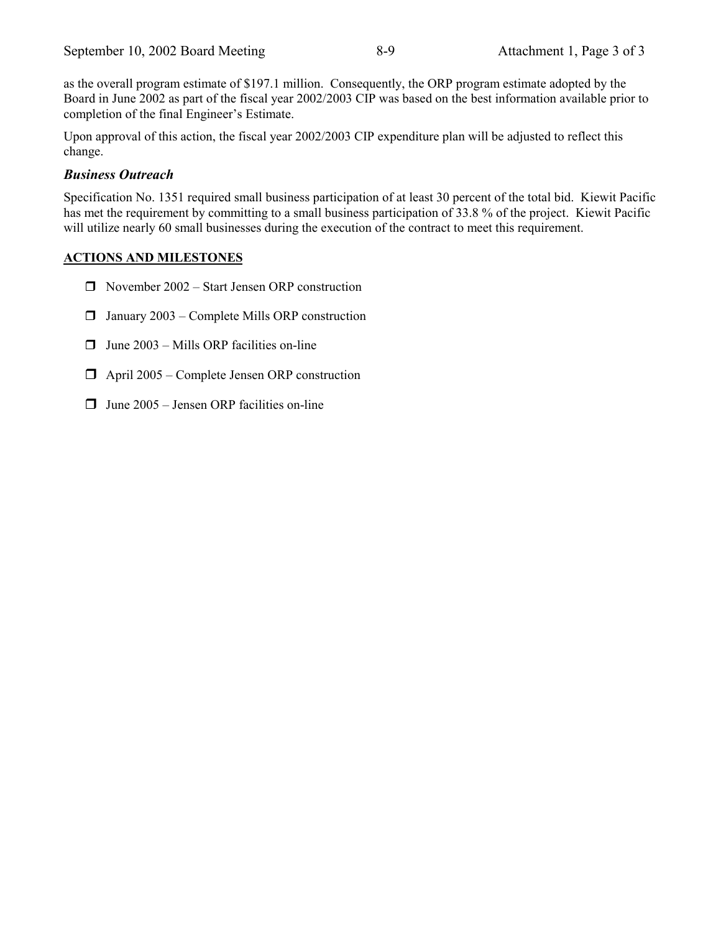as the overall program estimate of \$197.1 million. Consequently, the ORP program estimate adopted by the Board in June 2002 as part of the fiscal year 2002/2003 CIP was based on the best information available prior to completion of the final Engineer's Estimate.

Upon approval of this action, the fiscal year 2002/2003 CIP expenditure plan will be adjusted to reflect this change.

### *Business Outreach*

Specification No. 1351 required small business participation of at least 30 percent of the total bid. Kiewit Pacific has met the requirement by committing to a small business participation of 33.8 % of the project. Kiewit Pacific will utilize nearly 60 small businesses during the execution of the contract to meet this requirement.

### **ACTIONS AND MILESTONES**

- $\Box$  November 2002 Start Jensen ORP construction
- $\Box$  January 2003 Complete Mills ORP construction
- $\Box$  June 2003 Mills ORP facilities on-line
- $\Box$  April 2005 Complete Jensen ORP construction
- $\Box$  June 2005 Jensen ORP facilities on-line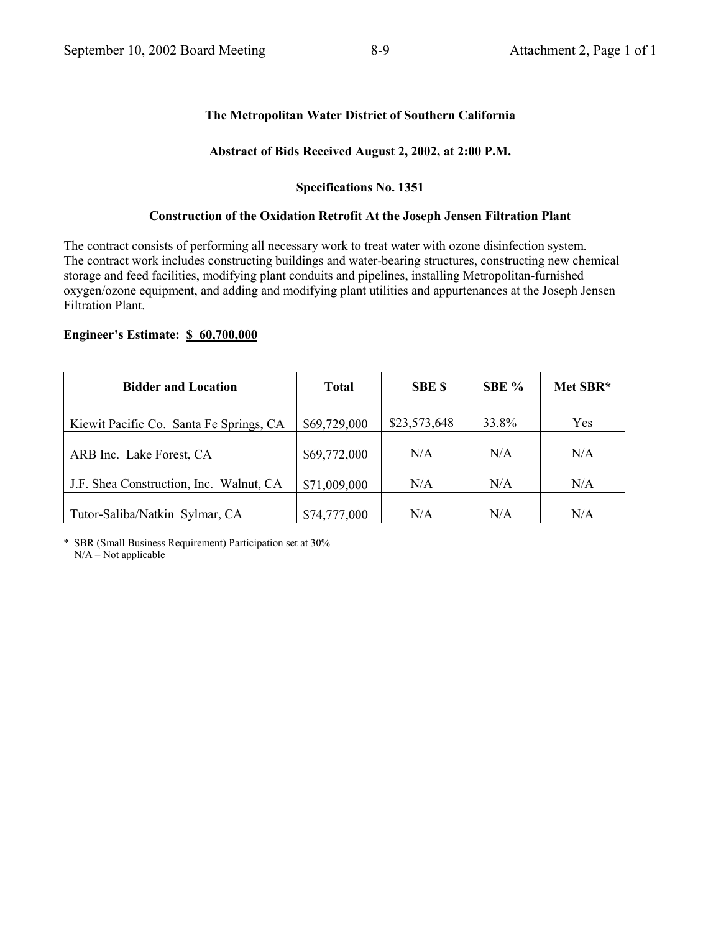### **The Metropolitan Water District of Southern California**

#### **Abstract of Bids Received August 2, 2002, at 2:00 P.M.**

#### **Specifications No. 1351**

#### **Construction of the Oxidation Retrofit At the Joseph Jensen Filtration Plant**

The contract consists of performing all necessary work to treat water with ozone disinfection system. The contract work includes constructing buildings and water-bearing structures, constructing new chemical storage and feed facilities, modifying plant conduits and pipelines, installing Metropolitan-furnished oxygen/ozone equipment, and adding and modifying plant utilities and appurtenances at the Joseph Jensen Filtration Plant.

#### **Engineer's Estimate: \$ 60,700,000**

| <b>Bidder and Location</b>              | <b>Total</b> | <b>SBE \$</b> | SBE % | Met SBR* |
|-----------------------------------------|--------------|---------------|-------|----------|
| Kiewit Pacific Co. Santa Fe Springs, CA | \$69,729,000 | \$23,573,648  | 33.8% | Yes      |
| ARB Inc. Lake Forest, CA                | \$69,772,000 | N/A           | N/A   | N/A      |
| J.F. Shea Construction, Inc. Walnut, CA | \$71,009,000 | N/A           | N/A   | N/A      |
| Tutor-Saliba/Natkin Sylmar, CA          | \$74,777,000 | N/A           | N/A   | N/A      |

\* SBR (Small Business Requirement) Participation set at 30%  $N/A - Not$  applicable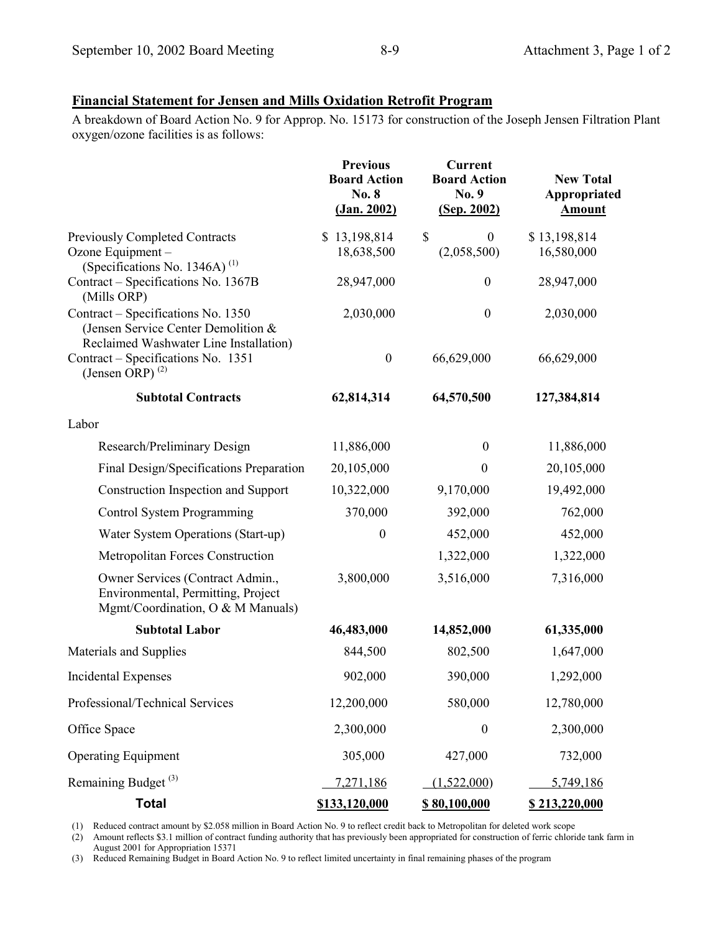### **Financial Statement for Jensen and Mills Oxidation Retrofit Program**

A breakdown of Board Action No. 9 for Approp. No. 15173 for construction of the Joseph Jensen Filtration Plant oxygen/ozone facilities is as follows:

|                                                                                                                     | <b>Previous</b><br><b>Board Action</b><br>No. 8<br>(Jan. 2002) | Current<br><b>Board Action</b><br>No. 9<br>(Sep. 2002) | <b>New Total</b><br>Appropriated<br><b>Amount</b> |
|---------------------------------------------------------------------------------------------------------------------|----------------------------------------------------------------|--------------------------------------------------------|---------------------------------------------------|
| <b>Previously Completed Contracts</b><br>Ozone Equipment -<br>(Specifications No. 1346A) $^{(1)}$                   | \$13,198,814<br>18,638,500                                     | $\boldsymbol{\mathsf{S}}$<br>$\theta$<br>(2,058,500)   | \$13,198,814<br>16,580,000                        |
| Contract - Specifications No. 1367B<br>(Mills ORP)                                                                  | 28,947,000                                                     | $\boldsymbol{0}$                                       | 28,947,000                                        |
| Contract - Specifications No. 1350<br>(Jensen Service Center Demolition &<br>Reclaimed Washwater Line Installation) | 2,030,000                                                      | $\boldsymbol{0}$                                       | 2,030,000                                         |
| Contract – Specifications No. 1351<br>(Jensen ORP) $^{(2)}$                                                         | $\boldsymbol{0}$                                               | 66,629,000                                             | 66,629,000                                        |
| <b>Subtotal Contracts</b>                                                                                           | 62,814,314                                                     | 64,570,500                                             | 127,384,814                                       |
| Labor                                                                                                               |                                                                |                                                        |                                                   |
| Research/Preliminary Design                                                                                         | 11,886,000                                                     | $\boldsymbol{0}$                                       | 11,886,000                                        |
| Final Design/Specifications Preparation                                                                             | 20,105,000                                                     | $\theta$                                               | 20,105,000                                        |
| Construction Inspection and Support                                                                                 | 10,322,000                                                     | 9,170,000                                              | 19,492,000                                        |
| Control System Programming                                                                                          | 370,000                                                        | 392,000                                                | 762,000                                           |
| Water System Operations (Start-up)                                                                                  | $\boldsymbol{0}$                                               | 452,000                                                | 452,000                                           |
| Metropolitan Forces Construction                                                                                    |                                                                | 1,322,000                                              | 1,322,000                                         |
| Owner Services (Contract Admin.,<br>Environmental, Permitting, Project<br>Mgmt/Coordination, O & M Manuals)         | 3,800,000                                                      | 3,516,000                                              | 7,316,000                                         |
| <b>Subtotal Labor</b>                                                                                               | 46,483,000                                                     | 14,852,000                                             | 61,335,000                                        |
| Materials and Supplies                                                                                              | 844,500                                                        | 802,500                                                | 1,647,000                                         |
| <b>Incidental Expenses</b>                                                                                          | 902,000                                                        | 390,000                                                | 1,292,000                                         |
| Professional/Technical Services                                                                                     | 12,200,000                                                     | 580,000                                                | 12,780,000                                        |
| Office Space                                                                                                        | 2,300,000                                                      | $\boldsymbol{0}$                                       | 2,300,000                                         |
| <b>Operating Equipment</b>                                                                                          | 305,000                                                        | 427,000                                                | 732,000                                           |
| Remaining Budget <sup>(3)</sup>                                                                                     | 7,271,186                                                      | (1,522,000)                                            | 5,749,186                                         |
| <b>Total</b>                                                                                                        | \$133,120,000                                                  | <u>\$80,100,000</u>                                    | \$213,220,000                                     |

(1) Reduced contract amount by \$2.058 million in Board Action No. 9 to reflect credit back to Metropolitan for deleted work scope

(2) Amount reflects \$3.1 million of contract funding authority that has previously been appropriated for construction of ferric chloride tank farm in August 2001 for Appropriation 15371

(3) Reduced Remaining Budget in Board Action No. 9 to reflect limited uncertainty in final remaining phases of the program